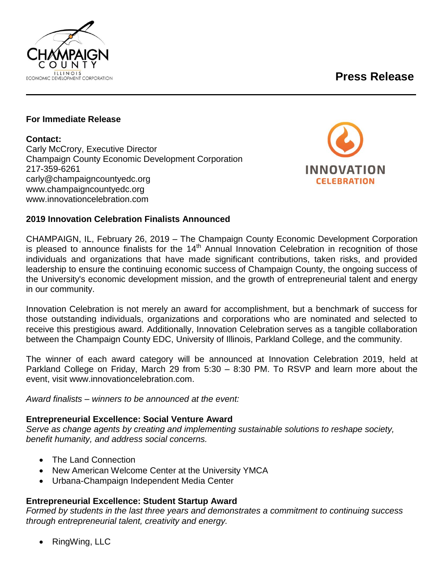# **Press Release**



#### **For Immediate Release**

#### **Contact:**

Carly McCrory, Executive Director Champaign County Economic Development Corporation 217-359-6261 carly@champaigncountyedc.org www.champaigncountyedc.org www.innovationcelebration.com



#### **2019 Innovation Celebration Finalists Announced**

CHAMPAIGN, IL, February 26, 2019 – The Champaign County Economic Development Corporation is pleased to announce finalists for the  $14<sup>th</sup>$  Annual Innovation Celebration in recognition of those individuals and organizations that have made significant contributions, taken risks, and provided leadership to ensure the continuing economic success of Champaign County, the ongoing success of the University's economic development mission, and the growth of entrepreneurial talent and energy in our community.

Innovation Celebration is not merely an award for accomplishment, but a benchmark of success for those outstanding individuals, organizations and corporations who are nominated and selected to receive this prestigious award. Additionally, Innovation Celebration serves as a tangible collaboration between the Champaign County EDC, University of Illinois, Parkland College, and the community.

The winner of each award category will be announced at Innovation Celebration 2019, held at Parkland College on Friday, March 29 from 5:30 – 8:30 PM. To RSVP and learn more about the event, visit www.innovationcelebration.com.

*Award finalists – winners to be announced at the event:*

#### **Entrepreneurial Excellence: Social Venture Award**

*Serve as change agents by creating and implementing sustainable solutions to reshape society, benefit humanity, and address social concerns.* 

- The Land Connection
- New American Welcome Center at the University YMCA
- Urbana-Champaign Independent Media Center

#### **Entrepreneurial Excellence: Student Startup Award**

*Formed by students in the last three years and demonstrates a commitment to continuing success through entrepreneurial talent, creativity and energy.*

RingWing, LLC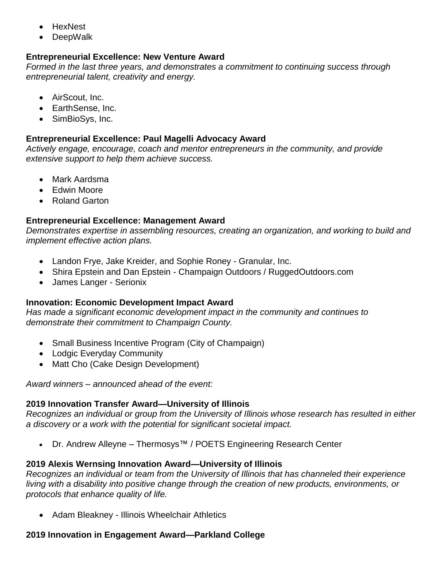- HexNest
- DeepWalk

### **Entrepreneurial Excellence: New Venture Award**

*Formed in the last three years, and demonstrates a commitment to continuing success through entrepreneurial talent, creativity and energy.*

- AirScout, Inc.
- EarthSense, Inc.
- SimBioSys, Inc.

### **Entrepreneurial Excellence: Paul Magelli Advocacy Award**

*Actively engage, encourage, coach and mentor entrepreneurs in the community, and provide extensive support to help them achieve success.*

- Mark Aardsma
- Fdwin Moore
- Roland Garton

### **Entrepreneurial Excellence: Management Award**

*Demonstrates expertise in assembling resources, creating an organization, and working to build and implement effective action plans.* 

- Landon Frye, Jake Kreider, and Sophie Roney Granular, Inc.
- Shira Epstein and Dan Epstein Champaign Outdoors / RuggedOutdoors.com
- James Langer Serionix

#### **Innovation: Economic Development Impact Award**

*Has made a significant economic development impact in the community and continues to demonstrate their commitment to Champaign County.*

- Small Business Incentive Program (City of Champaign)
- Lodgic Everyday Community
- Matt Cho (Cake Design Development)

*Award winners – announced ahead of the event:*

## **2019 Innovation Transfer Award—University of Illinois**

*Recognizes an individual or group from the University of Illinois whose research has resulted in either a discovery or a work with the potential for significant societal impact.*

• Dr. Andrew Alleyne – Thermosys™ / POETS Engineering Research Center

## **2019 Alexis Wernsing Innovation Award—University of Illinois**

*Recognizes an individual or team from the University of Illinois that has channeled their experience living with a disability into positive change through the creation of new products, environments, or protocols that enhance quality of life.* 

• Adam Bleakney - Illinois Wheelchair Athletics

## **2019 Innovation in Engagement Award—Parkland College**